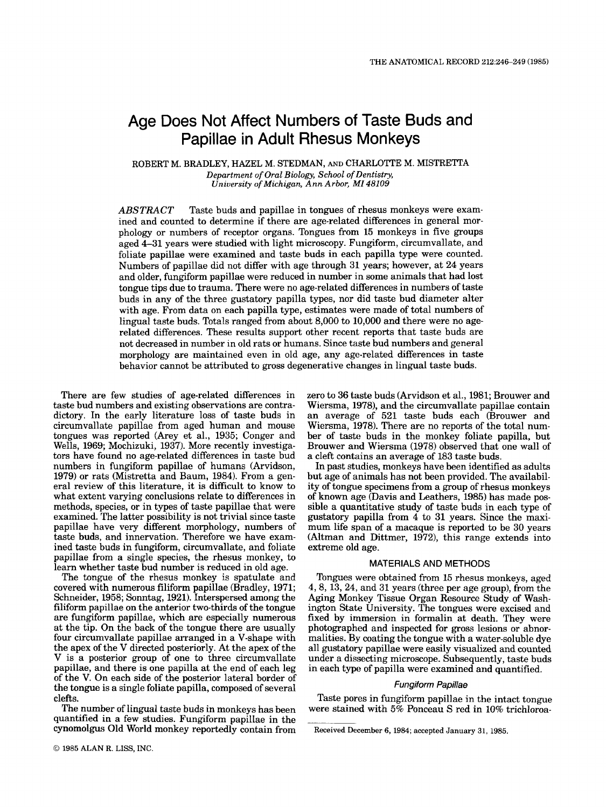# Age Does Not Affect Numbers of Taste Buds and Papillae in Adult Rhesus Monkeys

**ROBERT M. BRADLEY, HAZEL M. STEDMAN, AND CHARLOTTE M. MISTRETTA**  *Department of Oral Biology, School of Dentistry, University of Michigan, Ann Arbor, MI 48109* 

*ABSTRACT* Taste buds and papillae in tongues of rhesus monkeys were examined and counted to determine if there are age-related differences in general morphology or numbers of receptor organs. Tongues from **15** monkeys in five groups aged **4-31** years were studied with light microscopy. Fungiform, circumvallate, and foliate papillae were examined and taste buds in each papilla type were counted. Numbers of papillae did not differ with age through **31** years; however, at **24** years and older, fungiform papillae were reduced in number in some animals that had lost tongue tips due to trauma. There were no age-related differences in numbers of taste buds in any of the three gustatory papilla types, nor did taste bud diameter alter with age. From data on each papilla type, estimates were made of total numbers of lingual taste buds. Totals ranged from about **8,000** to **10,000** and there were no agerelated differences. These results support other recent reports that taste buds are not decreased in number in old rats or humans. Since taste bud numbers and general morphology are maintained even in old age, any age-related differences in taste behavior cannot be attributed to gross degenerative changes in lingual taste buds.

There are few studies of age-related differences in taste bud numbers and existing observations are contradictory. In the early literature loss of taste buds in circumvallate papillae from aged human and mouse tongues was reported (Arey et al., **1935;** Conger and Wells, **1969;** Mochizuki, **1937).** More recently investigators have found no age-related differences in taste bud numbers in fungiform papillae of humans (Arvidson, **1979)** or rats (Mistretta and Baum, **1984).** From a general review **of** this literature, it is difficult to know to what extent varying conclusions relate to differences in methods, species, or in types of taste papillae that were examined. The latter possibility is not trivial since taste papillae have very different morphology, numbers of taste buds, and innervation. Therefore we have examined taste buds in fungiform, circumvallate, and foliate papillae from a single species, the rhesus monkey, to learn whether taste bud number is reduced in old age.

The tongue of the rhesus monkey is spatulate and covered with numerous filiform papillae (Bradley, **1971;**  Schneider, **1958;** Sonntag, **1921).** Interspersed among the filiform papillae on the anterior two-thirds **of** the tongue are fungiform papillae, which are especially numerous at the tip. On the back of the tongue there are usually four circumvallate papillae arranged in a V-shape with the apex of the V directed posteriorly. At the apex of the V is a posterior group of one to three circumvallate papillae, and there is one papilla at the end of each leg of the V. On each side of the posterior lateral border of the tongue is a single foliate papilla, composed of several clefts.

The number of lingual taste buds in monkeys has been quantified in a few studies. Fungiform papillae in the cynomolgus Old World monkey reportedly contain from zero to **36** taste buds (Arvidson et al., **1981;** Brouwer and Wiersma, **1978),** and the circumvallate papillae contain an average of **521** taste buds each (Brouwer and Wiersma, **1978).** There are no reports of the total number of taste buds in the monkey foliate papilla, but Brouwer and Wiersma **(1978)** observed that one wall of a cleft contains an average of **183** taste buds.

In past studies, monkeys have been identified as adults but age of animals has not been provided. The availability of tongue specimens from a group of rhesus monkeys of known age (Davis and Leathers, **1985)** has made possible a quantitative study of taste buds in each type of gustatory papilla from **4** to **31** years. Since the maximum life span of a macaque is reported to be **30** years (Altman and Dittmer, **1972),** this range extends into extreme old age.

## MATERIALS AND METHODS

Tongues were obtained from **15** rhesus monkeys, aged **4,8,13,24,** and **31** years (three per age group), from the Aging Monkey Tissue Organ Resource Study of Washington State University. The tongues were excised and fixed by immersion in formalin at death. They were photographed and inspected for *gross* lesions or abnormalities. By coating the tongue with a water-soluble dye all gustatory papillae were easily visualized and counted under a dissecting microscope. Subsequently, taste buds in each type of papilla were examined and quantified.

## *Fungiform Papillae*

Taste pores in fungiform papillae in the intact tongue were stained with *5%* Ponceau S red in 10% trichloroa-

**Received December 6, 1984; accepted January 31, 1985.**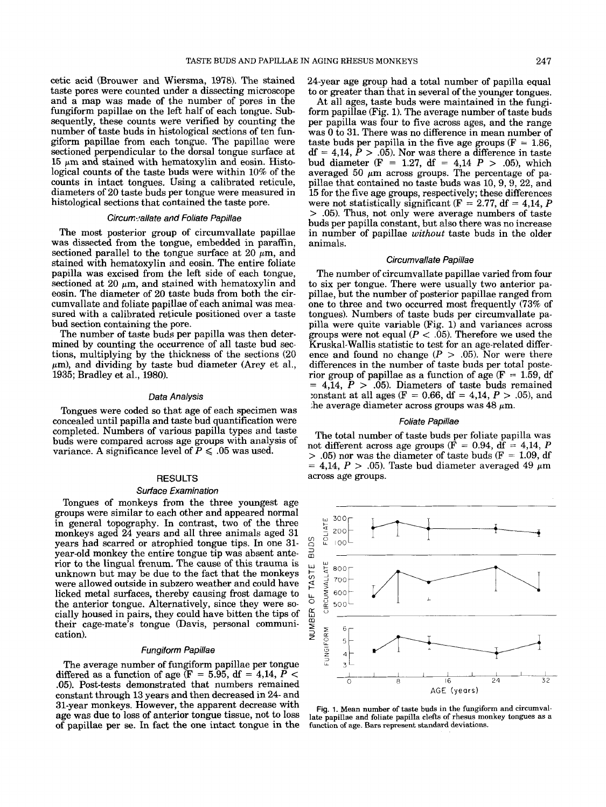cetic acid (Brouwer and Wiersma, 1978). The stained taste pores were counted under a dissecting microscope and a map was made of the number of pores in the fungiform papillae on the left half of each tongue. Subsequently, these counts were verified by counting the number of taste buds in histological sections of ten fungiform papillae from each tongue. The papillae were sectioned perpendicular to the dorsal tongue surface at 15  $\mu$ m and stained with hematoxylin and eosin. Histological counts of the taste buds were within 10% of the counts in intact tongues. Using a calibrated reticule, diameters of 20 taste buds per tongue were measured in histological sections that contained the taste pore.

#### *Circum:rallate and Foliate Papillae*

The most posterior group of circumvallate papillae was dissected from the tongue, embedded in paraffin, sectioned parallel to the tongue surface at 20  $\mu$ m, and stained with hematoxylin and eosin. The entire foliate papilla was excised from the left side of each tongue, sectioned at 20  $\mu$ m, and stained with hematoxylin and eosin. The diameter of 20 taste buds from both the circumvallate and foliate papillae of each animal was measured with a calibrated reticule positioned over a taste bud section containing the pore.

The number of taste buds per papilla was then determined by counting the occurrence of all taste bud sections, multiplying by the thickness of the sections (20  $\mu$ m), and dividing by taste bud diameter (Arey et al., 1935; Bradley et al., 1980).

#### *Data Analysis*

Tongues were coded so that age of each specimen was concealed until papilla and taste bud quantification were completed. Numbers of various papilla types and taste buds were compared across age groups with analysis of variance. A significance level of  $P \leq .05$  was used.

#### **RESULTS**

#### *Surface Examination*

Tongues of monkeys from the three youngest age groups were similar to each other and appeared normal in general topography. In contrast, two of the three monkeys aged 24 years and all three animals aged 31 years had scarred or atrophied tongue tips. In one 31 year-old monkey the entire tongue tip was absent anterior to the lingual frenum. The cause of this trauma is unknown but may be due to the fact that the monkeys were allowed outside in subzero weather and could have licked metal surfaces, thereby causing frost damage to the anterior tongue. Alternatively, since they were socially housed in pairs, they could have bitten the tips of their cage-mate's tongue (Davis, personal communication).

#### *Fungiform Papillae*

The average number of fungiform papillae per tongue differed as a function of age (F = 5.95, df = 4,14, P < .05). Post-tests demonstrated that numbers remained constant through 13 years and then decreased in 24- and 31-year monkeys. However, the apparent decrease with age was due to loss of anterior tongue tissue, not to loss of papillae per *se.* In fact the one intact tongue in the

24-year age group had a total number of papilla equal to or greater than that in several of the younger tongues.

At all ages, taste buds were maintained in the fungiform papillae (Fig. **1).** The average number of taste buds per papilla was four to five across ages, and the range was 0 to 31. There was no difference in mean number of taste buds per papilla in the five age groups ( $F = 1.86$ ,  $df = 4.14$ ,  $\hat{P} > .05$ ). Nor was there a difference in taste bud diameter (F = 1.27, df = 4,14  $P$  > .05), which averaged 50  $\mu$ m across groups. The percentage of papillae that contained no taste buds was 10,9,9, 22, and 15 for the five age groups, respectively; these differences were not statistically significant ( $F = 2.77$ ,  $df = 4.14$ ,  $P$ > .05). Thus, not only were average numbers of taste buds per papilla constant, but also there was no increase in number of papillae *without* taste buds in the older animals.

# *Circumvallate Papillae*

The number of circumvallate papillae varied from four to six per tongue. There were usually two anterior papillae, but the number of posterior papillae ranged from one to three and two occurred most frequently (73% of tongues). Numbers of taste buds per circumvallate papilla were quite variable (Fig. l) and variances across groups were not equal  $(P < .05)$ . Therefore we used the Kruskal-Wallis statistic to test for an age-related difference and found no change  $(P > .05)$ . Nor were there differences in the number of taste buds per total posterior group of papillae as a function of age  $(F = 1.59, df)$  $= 4,14, P > .05$ . Diameters of taste buds remained :onstant at all ages (F = 0.66, df = 4,14, P > *.05),* and the average diameter across groups was  $48 \mu m$ .

## *Foliate Papillae*

The total number of taste buds per foliate papilla was not different across age groups ( $\hat{F} = 0.94$ ,  $\hat{df} = 4.14$ , *P*  $> .05$ ) nor was the diameter of taste buds (F = 1.09, df  $= 4.14$ ,  $P > .05$ ). Taste bud diameter averaged 49  $\mu$ m across age groups.



**Fig.** 1. **Mean number of taste buds in the fungiform and circumvallate papillae and foliate papilla clefts of rhesus monkey tongues as a function of age.** Bars **represent standard deviations.**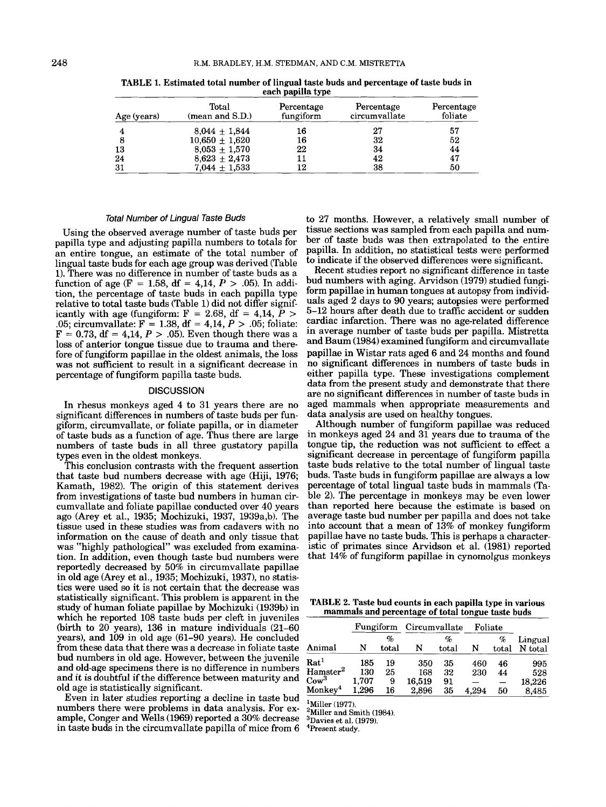| Age (years) | Total<br>$(\text{mean} \text{ and } S.D.)$ | Percentage<br>fungiform | Percentage<br>circumvallate | Percentage<br>foliate<br>57 |  |
|-------------|--------------------------------------------|-------------------------|-----------------------------|-----------------------------|--|
|             | $8.044 \pm 1.844$                          | 16                      | 27                          |                             |  |
|             | $10,650 \pm 1,620$                         | 16                      | 32                          | 52                          |  |
| 13          | $8,053 \pm 1,570$                          | 22                      | 34                          | 44                          |  |
| 24          | $8,623 \pm 2,473$                          | 11                      | 42                          | 47                          |  |
| 31          | $7,044 \pm 1,533$                          | 12                      | 38                          | 50                          |  |

**TABLE 1.** Estimated total number **of** lingual taste buds and percentage **of** taste buds in each papilla type

### *Total Number of Lingual Taste Buds*

Using the observed average number of taste buds per papilla type and adjusting papilla numbers to totals for an entire tongue, an estimate of the total number of lingual taste buds for each age group was derived (Table **1).** There was no difference in number of taste buds as a function of age ( $F = 1.58$ ,  $df = 4.14$ ,  $P > .05$ ). In addition, the percentage of taste buds in each papilla type relative to total taste buds (Table **1)** did not differ significantly with age (fungiform:  $F = 2.68$ ,  $df = 4.14$ ,  $P >$ .05; circumvallate: F = **1.38,** df = **4,14,** *P* > .05; foliate:  $F = 0.73$ ,  $df = 4.14$ ,  $P > .05$ ). Even though there was a loss of anterior tongue tissue due to trauma and therefore of fungiform papillae in the oldest animals, the loss was not sufficient to result in a significant decrease in percentage of fungiform papilla taste buds.

#### **DISCUSSION**

In rhesus monkeys aged **4** to **31** years there are no significant differences in numbers of taste buds per fungiform, circumvallate, or foliate papilla, or in diameter of taste buds as a function of age. Thus there are large numbers of taste buds in all three gustatory papilla types even in the oldest monkeys.

This conclusion contrasts with the frequent assertion that taste bud numbers decrease with age (Hiji, **1976;**  Kamath, **1982).** The origin of this statement derives from investigations of taste bud numbers in human circumvallate and foliate papillae conducted over **40** years ago (Arey et al., **1935;** Mochizuki, **1937, 1939a,b).** The tissue used in these studies was from cadavers with no information on the cause of death and only tissue that was "highly pathological" was excluded from examination. In addition, even though taste bud numbers were reportedly decreased by 50% in circumvallate papillae in old age (hey et al., **1935;** Mochizuki, **1937),** no statistics were used so it is not certain that the decrease was statistically significant. This problem is apparent in the study of human foliate papillae by Mochizuki (1939b) in which he reported **108** taste buds per cleft in juveniles (birth to **20** years), **136** in mature individuals **(21-60**  years), and **109** in old age **(61-90** years). He concluded from these data that there was a decrease in foliate taste bud numbers in old age. However, between the juvenile and old-age specimens there is no difference in numbers and it is doubtful if the difference between maturity and old age is statistically significant.

Even in later studies reporting a decline in taste bud numbers there were problems in data analysis. For example, Conger and Wells **(1969)** reported a **30%** decrease in taste buds in the circumvallate papilla of mice from 6

to **27** months. However, a relatively small number of tissue sections was sampled from each papilla and number of taste buds was then extrapolated to the entire papilla. In addition, no statistical tests were performed to indicate if the observed differences were significant.

Recent studies report no significant difference in taste bud numbers with aging. Arvidson **(1979)** studied fungiform papillae in human tongues at autopsy from individuals aged 2 days to **90** years; autopsies were performed **5-12** hours after death due to traffic accident or sudden cardiac infarction. There was no age-related difference in average number of taste buds per papilla. Mistretta and Baum **(1984)** examined fungiform and circumvallate papillae in Wistar rats aged **6** and **24** months and found no significant differences in numbers of taste buds in either papilla type. These investigations complement data from the present study and demonstrate that there are no significant differences in number of taste buds in aged mammals when appropriate measurements and data analysis are used on healthy tongues.

Although number of fungiform papillae was reduced in monkeys aged **24** and **31** years due to trauma of the tongue tip, the reduction was not sufficient to effect a significant decrease in percentage of fungiform papilla taste buds relative to the total number of lingual taste buds. Taste buds in fungiform papillae are always a low percentage of total lingual taste buds in mammals (Table **2).** The percentage in monkeys may be even lower than reported here because the estimate is based on average taste bud number per papilla and does not take into account that a mean of **13%** of monkey fungiform papillae have no taste buds. This is perhaps a characteristic of primates since Arvidson et al. **(1981)** reported that **14%** of fungiform papillae in cynomolgus monkeys

**TABLE 2.** Taste bud counts in each papilla type in various mammals and percentage **of** total tongue taste buds

|                     | Fungiform |            | Circumvallate |            | Foliate |            |                    |
|---------------------|-----------|------------|---------------|------------|---------|------------|--------------------|
| Animal              | N         | %<br>total | N             | %<br>total | N       | %<br>total | Lingual<br>N total |
| $\rm Rat^1$         | 185       | 19         | 350           | 35         | 460     | 46         | 995                |
| ${\rm Hamster^2}$   | 130       | 25         | 168           | 32         | 230     | 44         | 528                |
| $\mathrm{Cow}^3$    | 1,707     | 9          | 16,519        | 91         |         |            | 18,226             |
| $\mathsf{Monkev}^4$ | 1,296     | 16         | 2,896         | 35         | 4.294   | 50         | 8,485              |

**'Miller (1977).** 

**2Miller and Smith (1984).** 

<sup>3</sup>Davies et al. (1979).<br><sup>4</sup>Present study.